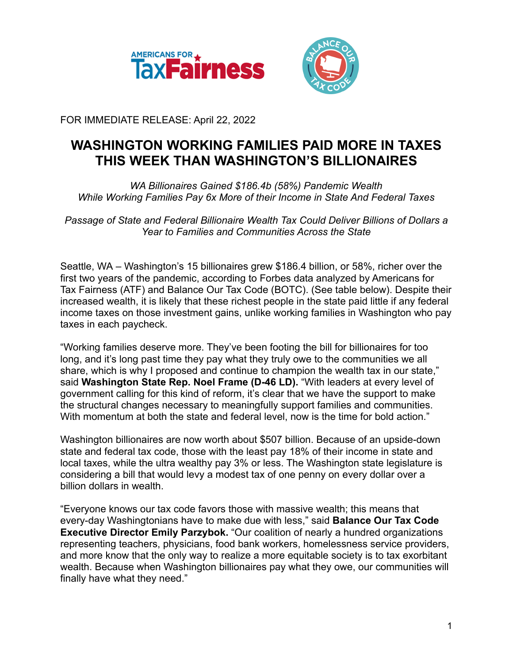



FOR IMMEDIATE RELEASE: April 22, 2022

## **WASHINGTON WORKING FAMILIES PAID MORE IN TAXES THIS WEEK THAN WASHINGTON'S BILLIONAIRES**

*WA Billionaires Gained \$186.4b (58%) Pandemic Wealth While Working Families Pay 6x More of their Income in State And Federal Taxes*

*Passage of State and Federal Billionaire Wealth Tax Could Deliver Billions of Dollars a Year to Families and Communities Across the State*

Seattle, WA – Washington's 15 billionaires grew \$186.4 billion, or 58%, richer over the first two years of the pandemic, according to Forbes data analyzed by Americans for Tax Fairness (ATF) and Balance Our Tax Code (BOTC). (See table below). Despite their increased wealth, it is likely that these richest people in the state paid little if any federal income taxes on those investment gains, unlike working families in Washington who pay taxes in each paycheck.

"Working families deserve more. They've been footing the bill for billionaires for too long, and it's long past time they pay what they truly owe to the communities we all share, which is why I proposed and continue to champion the wealth tax in our state," said **Washington State Rep. Noel Frame (D-46 LD).** "With leaders at every level of government calling for this kind of reform, it's clear that we have the support to make the structural changes necessary to meaningfully support families and communities. With momentum at both the state and federal level, now is the time for bold action."

Washington billionaires are now worth about \$507 billion. Because of an upside-down state and federal tax code, those with the least pay 18% of their income in state and local taxes, while the ultra wealthy pay 3% or less. The Washington state legislature is considering a bill that would levy a modest tax of one penny on every dollar over a billion dollars in wealth.

"Everyone knows our tax code favors those with massive wealth; this means that every-day Washingtonians have to make due with less," said **Balance Our Tax Code Executive Director Emily Parzybok.** "Our coalition of nearly a hundred organizations representing teachers, physicians, food bank workers, homelessness service providers, and more know that the only way to realize a more equitable society is to tax exorbitant wealth. Because when Washington billionaires pay what they owe, our communities will finally have what they need."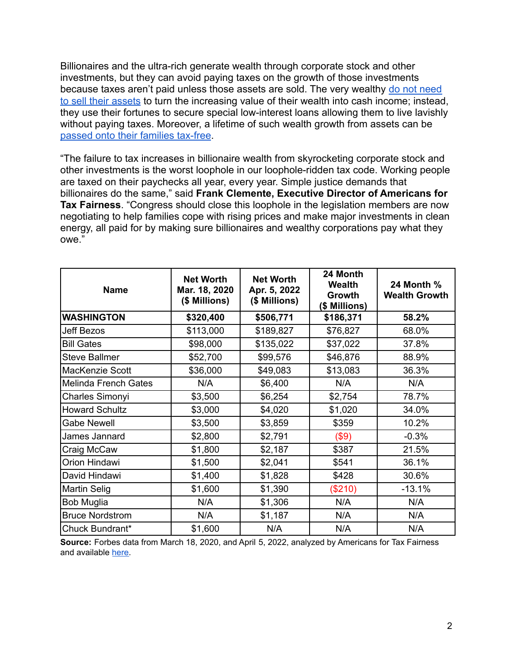Billionaires and the ultra-rich generate wealth through corporate stock and other investments, but they can avoid paying taxes on the growth of those investments because taxes aren't paid unless those assets are sold. The very wealthy [do not need](https://www.wsj.com/articles/buy-borrow-die-how-rich-americans-live-off-their-paper-wealth-11625909583) [to sell their assets](https://www.wsj.com/articles/buy-borrow-die-how-rich-americans-live-off-their-paper-wealth-11625909583) to turn the increasing value of their wealth into cash income; instead, they use their fortunes to secure special low-interest loans allowing them to live lavishly without paying taxes. Moreover, a lifetime of such wealth growth from assets can be [passed onto their families tax-free](https://americansfortaxfairness.org/issue/stop-protecting-billionaires-close-stepped-basis-loophole/).

"The failure to tax increases in billionaire wealth from skyrocketing corporate stock and other investments is the worst loophole in our loophole-ridden tax code. Working people are taxed on their paychecks all year, every year. Simple justice demands that billionaires do the same," said **Frank Clemente, Executive Director of Americans for Tax Fairness**. "Congress should close this loophole in the legislation members are now negotiating to help families cope with rising prices and make major investments in clean energy, all paid for by making sure billionaires and wealthy corporations pay what they owe."

| <b>Name</b>            | <b>Net Worth</b><br>Mar. 18, 2020<br>(\$ Millions) | <b>Net Worth</b><br>Apr. 5, 2022<br>(\$ Millions) | 24 Month<br><b>Wealth</b><br>Growth<br>(\$ Millions) | <b>24 Month %</b><br><b>Wealth Growth</b> |
|------------------------|----------------------------------------------------|---------------------------------------------------|------------------------------------------------------|-------------------------------------------|
| <b>WASHINGTON</b>      | \$320,400                                          | \$506,771                                         | \$186,371                                            | 58.2%                                     |
| Jeff Bezos             | \$113,000                                          | \$189,827                                         | \$76,827                                             | 68.0%                                     |
| <b>Bill Gates</b>      | \$98,000                                           | \$135,022                                         | \$37,022                                             | 37.8%                                     |
| <b>Steve Ballmer</b>   | \$52,700                                           | \$99,576                                          | \$46,876                                             | 88.9%                                     |
| MacKenzie Scott        | \$36,000                                           | \$49,083                                          | \$13,083                                             | 36.3%                                     |
| Melinda French Gates   | N/A                                                | \$6,400                                           | N/A                                                  | N/A                                       |
| Charles Simonyi        | \$3,500                                            | \$6,254                                           | \$2,754                                              | 78.7%                                     |
| <b>Howard Schultz</b>  | \$3,000                                            | \$4,020                                           | \$1,020                                              | 34.0%                                     |
| <b>Gabe Newell</b>     | \$3,500                                            | \$3,859                                           | \$359                                                | 10.2%                                     |
| James Jannard          | \$2,800                                            | \$2,791                                           | (\$9)                                                | $-0.3%$                                   |
| Craig McCaw            | \$1,800                                            | \$2,187                                           | \$387                                                | 21.5%                                     |
| Orion Hindawi          | \$1,500                                            | \$2,041                                           | \$541                                                | 36.1%                                     |
| David Hindawi          | \$1,400                                            | \$1,828                                           | \$428                                                | 30.6%                                     |
| Martin Selig           | \$1,600                                            | \$1,390                                           | (\$210)                                              | $-13.1%$                                  |
| <b>Bob Muglia</b>      | N/A                                                | \$1,306                                           | N/A                                                  | N/A                                       |
| <b>Bruce Nordstrom</b> | N/A                                                | \$1,187                                           | N/A                                                  | N/A                                       |
| Chuck Bundrant*        | \$1,600                                            | N/A                                               | N/A                                                  | N/A                                       |

**Source:** Forbes data from March 18, 2020, and April 5, 2022, analyzed by Americans for Tax Fairness and available [here.](https://docs.google.com/spreadsheets/d/1MksOhwmIojtZihAmPcfcYeaGoG3FOFZmiKUza1dIRD4/edit?usp=sharing)